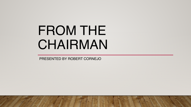# FROM THE CHAIRMAN

PRESENTED BY ROBERT CORNEJO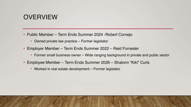# **OVERVIEW**

- Public Member Term Ends Summer 2024 -Robert Cornejo
	- Owned private law practice Former legislator
- Employer Member Term Ends Summer 2022 Reid Forrester
	- Former small business owner Wide ranging background in private and public sector
- Employee Member Term Ends Summer 2026 Shalonn "Kiki" Curls
	- Worked in real estate development Former legislator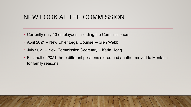# NEW LOOK AT THE COMMISSION

- Currently only 13 employees including the Commissioners
- April 2021 New Chief Legal Counsel Glen Webb
- July 2021 New Commission Secretary Karla Hogg
- First half of 2021 three different positions retired and another moved to Montana for family reasons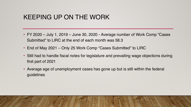# KEEPING UP ON THE WORK

- FY 2020 July 1, 2019 June 30, 2020 Average number of Work Comp "Cases Submitted" to LIRC at the end of each month was 58.3
- End of May 2021 Only 25 Work Comp "Cases Submitted" to LIRC
- Still had to handle fiscal notes for legislature and prevailing wage objections during first part of 2021
- Average age of unemployment cases has gone up but is still within the federal guidelines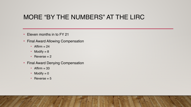# MORE "BY THE NUMBERS" AT THE LIRC

- Eleven months in to FY 21
- Final Award Allowing Compensation
	- Affirm  $= 24$
	- Modify  $= 8$
	- Reverse  $= 2$
- Final Award Denying Compensation
	- Affirm  $= 33$
	- Modify  $= 0$
	- Reverse  $= 5$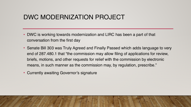# DWC MODERNIZATION PROJECT

- DWC is working towards modernization and LIRC has been a part of that conversation from the first day
- Senate Bill 303 was Truly Agreed and Finally Passed which adds language to very end of 287.480.1 that "the commission may allow filing of applications for review, briefs, motions, and other requests for relief with the commission by electronic means, in such manner as the commission may, by regulation, prescribe."
- Currently awaiting Governor's signature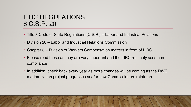# LIRC REGULATIONS 8 C.S.R. 20

- Title 8 Code of State Regulations (C.S.R.) Labor and Industrial Relations
- Division 20 Labor and Industrial Relations Commission
- Chapter 3 Division of Workers Compensation matters in front of LIRC
- Please read these as they are very important and the LIRC routinely sees noncompliance
- In addition, check back every year as more changes will be coming as the DWC modernization project progresses and/or new Commissioners rotate on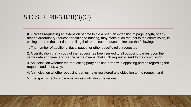#### 8 C.S.R. 20-3.030(3)(C)

- (C) Parties requesting an extension of time to file a brief, an extension of page length, or any other extraordinary request pertaining to briefing, may make such request to the commission, in writing, prior to the last date for filing their brief, such request to include the following:
- 1. The number of additional days, pages, or other specific relief requested;
- 2. A certification that a copy of the request has been served to all opposing parties upon the same date and time, and via the same means, that such request is sent to the commission;
- 3. An indication whether the requesting party has conferred with opposing parties regarding the request, and if not, why;
- 4. An indication whether opposing parties have registered any objection to the request; and
- 5. The specific facts or circumstances motivating the request.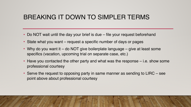# BREAKING IT DOWN TO SIMPLER TERMS

- Do NOT wait until the day your brief is due file your request beforehand
- State what you want request a specific number of days or pages
- Why do you want it do NOT give boilerplate language give at least some specifics (vacation, upcoming trial on separate case, etc.)
- Have you contacted the other party and what was the response i.e. show some professional courtesy
- Serve the request to opposing party in same manner as sending to LIRC see point above about professional courtesy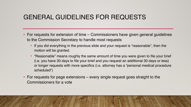# GENERAL GUIDELINES FOR REQUESTS

- For requests for extension of time Commissioners have given general guidelines to the Commission Secretary to handle most requests
	- If you did everything in the previous slide and your request is "reasonable", then the motion will be granted.
	- "Reasonable" means roughly the same amount of time you were given to file your brief (i.e. you have 30 days to file your brief and you request an additional 30 days or less) or longer requests with more specifics (i.e. attorney has a "personal medical procedure scheduled")
- For requests for page extensions every single request goes straight to the Commissioners for a vote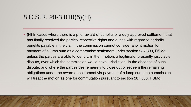#### 8 C.S.R. 20-3.010(5)(H)

• **(H)** In cases where there is a prior award of benefits or a duly approved settlement that has finally resolved the parties' respective rights and duties with regard to periodic benefits payable in the claim, the commission cannot consider a joint motion for payment of a lump sum as a compromise settlement under section 287.390, RSMo, unless the parties are able to identify, in their motion, a legitimate, presently justiciable dispute, over which the commission would have jurisdiction. In the absence of such dispute, and where the parties desire merely to close out or redeem the remaining obligations under the award or settlement via payment of a lump sum, the commission will treat the motion as one for commutation pursuant to section 287.530, RSMo.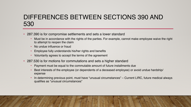# DIFFERENCES BETWEEN SECTIONS 390 AND 530

- 287.390 is for compromise settlements and sets a lower standard
	- Must be in accordance with the rights of the parties. For example, cannot make employee waive the right to attempt to reopen the claim
	- No undue influence or fraud
	- Employee fully understands his/her rights and benefits
	- Voluntarily agrees to accept the terms of the agreement
- 287.530 is for motions for commutations and sets a higher standard
	- Payment must be equal to the commutable amount of future installments due
	- Best interests of the employee (or dependents of a deceased employee) or avoid undue hardship/ expense
	- In determining previous point, must have "unusual circumstances" Current LIRC, future medical always qualifies as "unusual circumstances"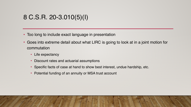# 8 C.S.R. 20-3.010(5)(I)

- Too long to include exact language in presentation
- Goes into extreme detail about what LIRC is going to look at in a joint motion for commutation
	- Life expectancy
	- Discount rates and actuarial assumptions
	- Specific facts of case at hand to show best interest, undue hardship, etc.
	- Potential funding of an annuity or MSA trust account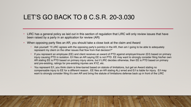#### LET'S GO BACK TO 8 C.S.R. 20-3.030

- LIRC has a general policy as laid out in this section of regulation that LIRC will only review issues that have been raised by a party in an application for review (AR)
- When opposing party files an AR, you should take a close look at the claim and Award
	- Ask yourself: "if LIRC agrees with the opposing party's point(s) in the AR, then am I going to be able to adequately represent my client on the other issues that flow from that decision?"
	- If you represent an employee (EE) and client receives an award of PTD against employer/insurer (E/I) based on primary injury causing PTD in isolation. E/I files an AR saying EE is not PTD. EE may want to strongly consider filing his/her own AR stating EE is PTD based on primary injury alone, but if LIRC decides otherwise, then EE is PTD based on primary and pre-existing, ratings for pre-existing injuries are XYZ, etc.
	- You represent E/I, you think claim is time-barred based on statute of limitations, but get an Award stating no compensable injury to EE for a different reason.. EE files an AR stating ALJ erred and E/I is liable for injury. E/I may want to strongly consider filing it's own AR and bring the statute of limitations defense back up in front of the LIRC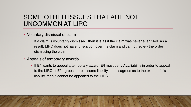# SOME OTHER ISSUES THAT ARE NOT UNCOMMON AT LIRC

- Voluntary dismissal of claim
	- If a claim is voluntarily dismissed, then it is as if the claim was never even filed. As a result, LIRC does not have jurisdiction over the claim and cannot review the order dismissing the claim
- Appeals of temporary awards
	- If E/I wants to appeal a temporary award, E/I must deny ALL liability in order to appeal to the LIRC. If E/I agrees there is some liability, but disagrees as to the extent of it's liability, then it cannot be appealed to the LIRC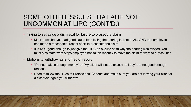# SOME OTHER ISSUES THAT ARE NOT UNCOMMON AT LIRC (CONT'D.)

- Trying to set aside a dismissal for failure to prosecute claim
	- Must show that you had good cause for missing the hearing in front of ALJ AND that employee has made a reasonable, recent effort to prosecute the claim
	- It is NOT good enough to just give the LIRC an excuse as to why the hearing was missed. You must also state what steps employee has taken recently to move the claim forward to a resolution
- Motions to withdraw as attorney of record
	- "I'm not making enough money" or "My client will not do exactly as I say" are not good enough reasons
	- Need to follow the Rules of Professional Conduct and make sure you are not leaving your client at a disadvantage if you withdraw